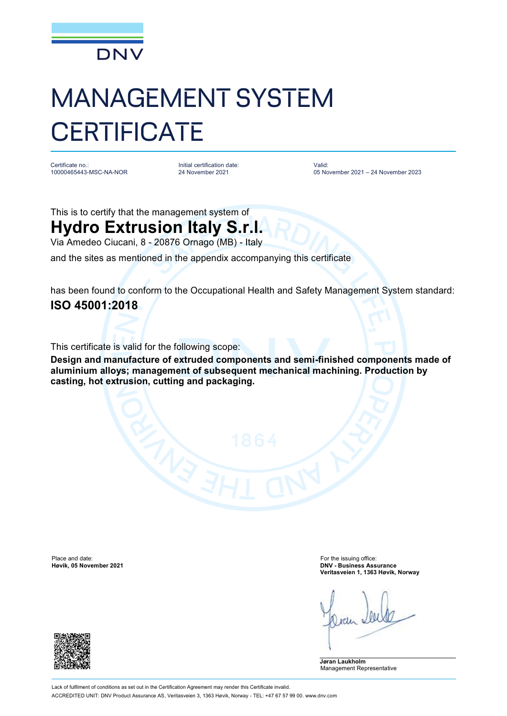

## MANAGEMENT SYSTEM **CERTIFICATE**

Certificate no.: 10000465443-MSC-NA-NOR Initial certification date: 24 November 2021

Valid: 05 November 2021 – 24 November 2023

This is to certify that the management system of

## **Hydro Extrusion Italy S.r.l.**

Via Amedeo Ciucani, 8 - 20876 Ornago (MB) - Italy

and the sites as mentioned in the appendix accompanying this certificate

has been found to conform to the Occupational Health and Safety Management System standard: **ISO 45001:2018**

This certificate is valid for the following scope:

**Design and manufacture of extruded components and semi-finished components made of aluminium alloys; management of subsequent mechanical machining. Production by casting, hot extrusion, cutting and packaging.**

Place and date: For the issuing office:<br> **Place and date:** For the issuing office:<br> **Place and date:** For the issuing office:<br> **Place and date:** For the issuing office:

**Høvik, 05 November 2021 DNV - Business Assurance Veritasveien 1, 1363 Høvik, Norway**

**Jøran Laukholm** Management Representative

Lack of fulfilment of conditions as set out in the Certification Agreement may render this Certificate invalid. ACCREDITED UNIT: DNV Product Assurance AS, Veritasveien 3, 1363 Høvik, Norway - TEL: +47 67 57 99 00. [www.dnv.com](http://www.dnv.com)